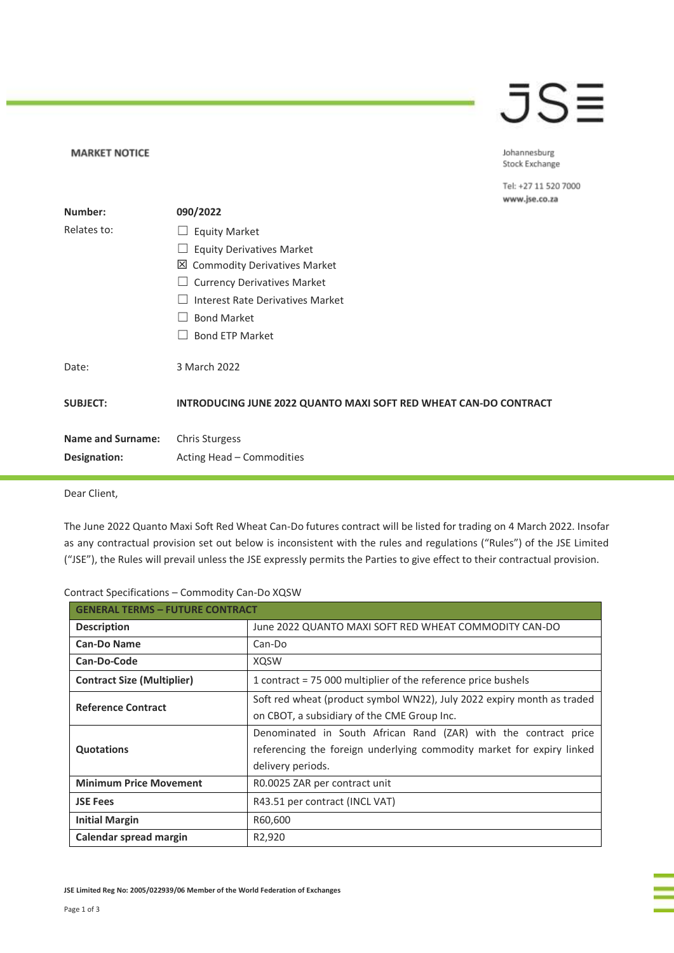### JS≣

Johannesburg Stock Exchange

Tel: +27 11 520 7000

|                          |                                                                         | www.jsc.co.za |
|--------------------------|-------------------------------------------------------------------------|---------------|
| Number:                  | 090/2022                                                                |               |
| Relates to:              | <b>Equity Market</b><br>$\overline{\phantom{a}}$                        |               |
|                          | <b>Equity Derivatives Market</b>                                        |               |
|                          | <b>Commodity Derivatives Market</b><br>⊠                                |               |
|                          | <b>Currency Derivatives Market</b>                                      |               |
|                          | <b>Interest Rate Derivatives Market</b>                                 |               |
|                          | <b>Bond Market</b>                                                      |               |
|                          | <b>Bond ETP Market</b>                                                  |               |
| Date:                    | 3 March 2022                                                            |               |
| <b>SUBJECT:</b>          | <b>INTRODUCING JUNE 2022 QUANTO MAXI SOFT RED WHEAT CAN-DO CONTRACT</b> |               |
| <b>Name and Surname:</b> | <b>Chris Sturgess</b>                                                   |               |
| Designation:             | Acting Head - Commodities                                               |               |

Dear Client,

**MARKET NOTICE** 

The June 2022 Quanto Maxi Soft Red Wheat Can-Do futures contract will be listed for trading on 4 March 2022. Insofar as any contractual provision set out below is inconsistent with the rules and regulations ("Rules") of the JSE Limited ("JSE"), the Rules will prevail unless the JSE expressly permits the Parties to give effect to their contractual provision.

| ontract Specifications – Commodity Can-Do XQSW |                                                                                                                                                               |  |
|------------------------------------------------|---------------------------------------------------------------------------------------------------------------------------------------------------------------|--|
| <b>GENERAL TERMS - FUTURE CONTRACT</b>         |                                                                                                                                                               |  |
| <b>Description</b>                             | June 2022 QUANTO MAXI SOFT RED WHEAT COMMODITY CAN-DO                                                                                                         |  |
| <b>Can-Do Name</b>                             | Can-Do                                                                                                                                                        |  |
| Can-Do-Code                                    | <b>XQSW</b>                                                                                                                                                   |  |
| <b>Contract Size (Multiplier)</b>              | 1 contract = 75 000 multiplier of the reference price bushels                                                                                                 |  |
| <b>Reference Contract</b>                      | Soft red wheat (product symbol WN22), July 2022 expiry month as traded<br>on CBOT, a subsidiary of the CME Group Inc.                                         |  |
| Quotations                                     | Denominated in South African Rand (ZAR) with the contract price<br>referencing the foreign underlying commodity market for expiry linked<br>delivery periods. |  |
| <b>Minimum Price Movement</b>                  | R0.0025 ZAR per contract unit                                                                                                                                 |  |
| <b>JSE Fees</b>                                | R43.51 per contract (INCL VAT)                                                                                                                                |  |
| <b>Initial Margin</b>                          | R60,600                                                                                                                                                       |  |
| Calendar spread margin                         | R <sub>2</sub> ,920                                                                                                                                           |  |
|                                                |                                                                                                                                                               |  |

### Contract Specifications – Commodity Can-Do XQSW

**JSE Limited Reg No: 2005/022939/06 Member of the World Federation of Exchanges**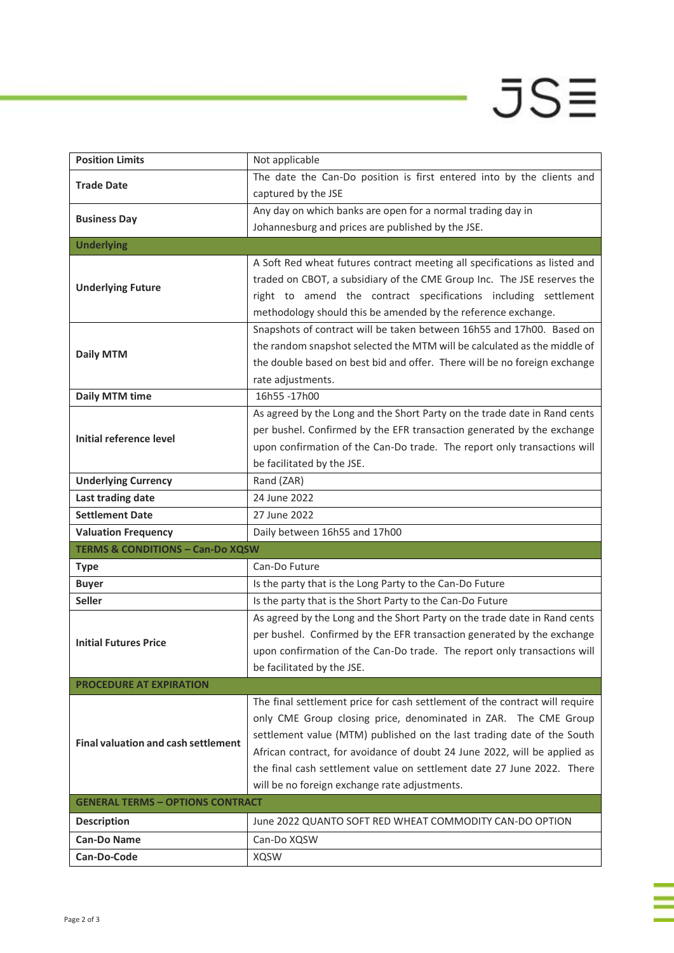## $JSE$

ī

| <b>Position Limits</b>                      | Not applicable                                                              |
|---------------------------------------------|-----------------------------------------------------------------------------|
| <b>Trade Date</b>                           | The date the Can-Do position is first entered into by the clients and       |
|                                             | captured by the JSE                                                         |
| <b>Business Day</b>                         | Any day on which banks are open for a normal trading day in                 |
|                                             | Johannesburg and prices are published by the JSE.                           |
| <b>Underlying</b>                           |                                                                             |
|                                             | A Soft Red wheat futures contract meeting all specifications as listed and  |
| <b>Underlying Future</b>                    | traded on CBOT, a subsidiary of the CME Group Inc. The JSE reserves the     |
|                                             | right to amend the contract specifications including settlement             |
|                                             | methodology should this be amended by the reference exchange.               |
|                                             | Snapshots of contract will be taken between 16h55 and 17h00. Based on       |
| <b>Daily MTM</b>                            | the random snapshot selected the MTM will be calculated as the middle of    |
|                                             | the double based on best bid and offer. There will be no foreign exchange   |
|                                             | rate adjustments.                                                           |
| <b>Daily MTM time</b>                       | 16h55-17h00                                                                 |
|                                             | As agreed by the Long and the Short Party on the trade date in Rand cents   |
| Initial reference level                     | per bushel. Confirmed by the EFR transaction generated by the exchange      |
|                                             | upon confirmation of the Can-Do trade. The report only transactions will    |
|                                             | be facilitated by the JSE.                                                  |
| <b>Underlying Currency</b>                  | Rand (ZAR)                                                                  |
| Last trading date                           | 24 June 2022                                                                |
| <b>Settlement Date</b>                      | 27 June 2022                                                                |
| <b>Valuation Frequency</b>                  | Daily between 16h55 and 17h00                                               |
|                                             |                                                                             |
| <b>TERMS &amp; CONDITIONS - Can-Do XQSW</b> |                                                                             |
| <b>Type</b>                                 | Can-Do Future                                                               |
| <b>Buyer</b>                                | Is the party that is the Long Party to the Can-Do Future                    |
| Seller                                      | Is the party that is the Short Party to the Can-Do Future                   |
|                                             | As agreed by the Long and the Short Party on the trade date in Rand cents   |
| <b>Initial Futures Price</b>                | per bushel. Confirmed by the EFR transaction generated by the exchange      |
|                                             | upon confirmation of the Can-Do trade. The report only transactions will    |
|                                             | be facilitated by the JSE.                                                  |
| <b>PROCEDURE AT EXPIRATION</b>              |                                                                             |
|                                             | The final settlement price for cash settlement of the contract will require |
|                                             | only CME Group closing price, denominated in ZAR. The CME Group             |
| <b>Final valuation and cash settlement</b>  | settlement value (MTM) published on the last trading date of the South      |
|                                             | African contract, for avoidance of doubt 24 June 2022, will be applied as   |
|                                             | the final cash settlement value on settlement date 27 June 2022. There      |
|                                             | will be no foreign exchange rate adjustments.                               |
| <b>GENERAL TERMS - OPTIONS CONTRACT</b>     |                                                                             |
| <b>Description</b>                          | June 2022 QUANTO SOFT RED WHEAT COMMODITY CAN-DO OPTION                     |
| <b>Can-Do Name</b>                          | Can-Do XQSW                                                                 |